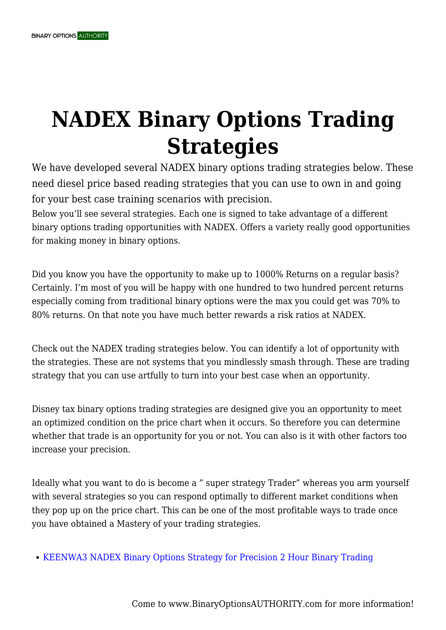## **NADEX Binary Options Trading Strategies**

We have developed several NADEX binary options trading strategies below. These need diesel price based reading strategies that you can use to own in and going for your best case training scenarios with precision.

Below you'll see several strategies. Each one is signed to take advantage of a different binary options trading opportunities with NADEX. Offers a variety really good opportunities for making money in binary options.

Did you know you have the opportunity to make up to 1000% Returns on a regular basis? Certainly. I'm most of you will be happy with one hundred to two hundred percent returns especially coming from traditional binary options were the max you could get was 70% to 80% returns. On that note you have much better rewards a risk ratios at NADEX.

Check out the NADEX trading strategies below. You can identify a lot of opportunity with the strategies. These are not systems that you mindlessly smash through. These are trading strategy that you can use artfully to turn into your best case when an opportunity.

Disney tax binary options trading strategies are designed give you an opportunity to meet an optimized condition on the price chart when it occurs. So therefore you can determine whether that trade is an opportunity for you or not. You can also is it with other factors too increase your precision.

Ideally what you want to do is become a " super strategy Trader" whereas you arm yourself with several strategies so you can respond optimally to different market conditions when they pop up on the price chart. This can be one of the most profitable ways to trade once you have obtained a Mastery of your trading strategies.

• [KEENWA3 NADEX Binary Options Strategy for Precision 2 Hour Binary Trading](https://binaryoptionsauthority.com/keenwa3-nadex-binary-options-strategy-precision-2-hour-binary-trading/)